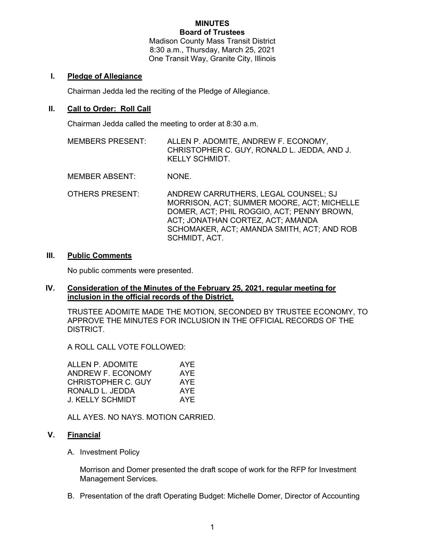#### MINUTES Board of Trustees

Madison County Mass Transit District 8:30 a.m., Thursday, March 25, 2021 One Transit Way, Granite City, Illinois

## I. Pledge of Allegiance

Chairman Jedda led the reciting of the Pledge of Allegiance.

### II. Call to Order: Roll Call

Chairman Jedda called the meeting to order at 8:30 a.m.

MEMBERS PRESENT: ALLEN P. ADOMITE, ANDREW F. ECONOMY, CHRISTOPHER C. GUY, RONALD L. JEDDA, AND J. KELLY SCHMIDT.

MEMBER ABSENT: NONE.

OTHERS PRESENT: ANDREW CARRUTHERS, LEGAL COUNSEL; SJ MORRISON, ACT; SUMMER MOORE, ACT; MICHELLE DOMER, ACT; PHIL ROGGIO, ACT; PENNY BROWN, ACT; JONATHAN CORTEZ, ACT; AMANDA SCHOMAKER, ACT; AMANDA SMITH, ACT; AND ROB SCHMIDT, ACT.

#### III. Public Comments

No public comments were presented.

#### IV. Consideration of the Minutes of the February 25, 2021, regular meeting for inclusion in the official records of the District.

TRUSTEE ADOMITE MADE THE MOTION, SECONDED BY TRUSTEE ECONOMY, TO APPROVE THE MINUTES FOR INCLUSION IN THE OFFICIAL RECORDS OF THE DISTRICT.

A ROLL CALL VOTE FOLLOWED:

| ALLEN P. ADOMITE        | AYE |
|-------------------------|-----|
| ANDREW F. ECONOMY       | AYE |
| CHRISTOPHER C. GUY      | AYE |
| RONALD L. JEDDA         | AYE |
| <b>J. KELLY SCHMIDT</b> | AYF |

ALL AYES. NO NAYS. MOTION CARRIED.

#### V. Financial

A. Investment Policy

Morrison and Domer presented the draft scope of work for the RFP for Investment Management Services.

B. Presentation of the draft Operating Budget: Michelle Domer, Director of Accounting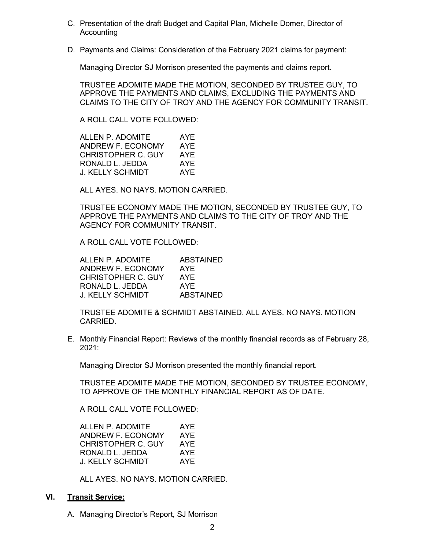- C. Presentation of the draft Budget and Capital Plan, Michelle Domer, Director of Accounting
- D. Payments and Claims: Consideration of the February 2021 claims for payment:

Managing Director SJ Morrison presented the payments and claims report.

TRUSTEE ADOMITE MADE THE MOTION, SECONDED BY TRUSTEE GUY, TO APPROVE THE PAYMENTS AND CLAIMS, EXCLUDING THE PAYMENTS AND CLAIMS TO THE CITY OF TROY AND THE AGENCY FOR COMMUNITY TRANSIT.

A ROLL CALL VOTE FOLLOWED:

| ALLEN P. ADOMITE   | AYE |
|--------------------|-----|
| ANDREW F. ECONOMY  | AYE |
| CHRISTOPHER C. GUY | AYE |
| RONALD L. JEDDA    | AYE |
| J. KELLY SCHMIDT   | AYF |

ALL AYES. NO NAYS. MOTION CARRIED.

TRUSTEE ECONOMY MADE THE MOTION, SECONDED BY TRUSTEE GUY, TO APPROVE THE PAYMENTS AND CLAIMS TO THE CITY OF TROY AND THE AGENCY FOR COMMUNITY TRANSIT.

A ROLL CALL VOTE FOLLOWED:

ALLEN P. ADOMITE ABSTAINED ANDREW F. ECONOMY AYE CHRISTOPHER C. GUY AYE RONALD L. JEDDA AYE J. KELLY SCHMIDT ABSTAINED

TRUSTEE ADOMITE & SCHMIDT ABSTAINED. ALL AYES. NO NAYS. MOTION CARRIED.

E. Monthly Financial Report: Reviews of the monthly financial records as of February 28, 2021:

Managing Director SJ Morrison presented the monthly financial report.

TRUSTEE ADOMITE MADE THE MOTION, SECONDED BY TRUSTEE ECONOMY, TO APPROVE OF THE MONTHLY FINANCIAL REPORT AS OF DATE.

A ROLL CALL VOTE FOLLOWED:

| ALLEN P. ADOMITE          | AYE |
|---------------------------|-----|
| ANDREW F. ECONOMY         | AYE |
| <b>CHRISTOPHER C. GUY</b> | AYE |
| RONALD L. JEDDA           | AYE |
| J. KELLY SCHMIDT          | AYE |

ALL AYES. NO NAYS. MOTION CARRIED.

# VI. Transit Service:

A. Managing Director's Report, SJ Morrison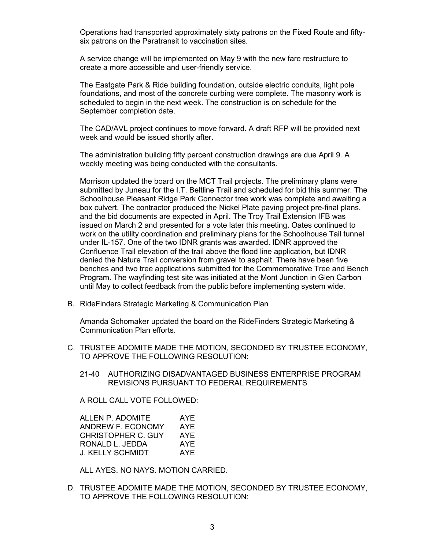Operations had transported approximately sixty patrons on the Fixed Route and fiftysix patrons on the Paratransit to vaccination sites.

A service change will be implemented on May 9 with the new fare restructure to create a more accessible and user-friendly service.

The Eastgate Park & Ride building foundation, outside electric conduits, light pole foundations, and most of the concrete curbing were complete. The masonry work is scheduled to begin in the next week. The construction is on schedule for the September completion date.

The CAD/AVL project continues to move forward. A draft RFP will be provided next week and would be issued shortly after.

The administration building fifty percent construction drawings are due April 9. A weekly meeting was being conducted with the consultants.

Morrison updated the board on the MCT Trail projects. The preliminary plans were submitted by Juneau for the I.T. Beltline Trail and scheduled for bid this summer. The Schoolhouse Pleasant Ridge Park Connector tree work was complete and awaiting a box culvert. The contractor produced the Nickel Plate paving project pre-final plans, and the bid documents are expected in April. The Troy Trail Extension IFB was issued on March 2 and presented for a vote later this meeting. Oates continued to work on the utility coordination and preliminary plans for the Schoolhouse Tail tunnel under IL-157. One of the two IDNR grants was awarded. IDNR approved the Confluence Trail elevation of the trail above the flood line application, but IDNR denied the Nature Trail conversion from gravel to asphalt. There have been five benches and two tree applications submitted for the Commemorative Tree and Bench Program. The wayfinding test site was initiated at the Mont Junction in Glen Carbon until May to collect feedback from the public before implementing system wide.

B. RideFinders Strategic Marketing & Communication Plan

Amanda Schomaker updated the board on the RideFinders Strategic Marketing & Communication Plan efforts.

- C. TRUSTEE ADOMITE MADE THE MOTION, SECONDED BY TRUSTEE ECONOMY, TO APPROVE THE FOLLOWING RESOLUTION:
	- 21-40 AUTHORIZING DISADVANTAGED BUSINESS ENTERPRISE PROGRAM REVISIONS PURSUANT TO FEDERAL REQUIREMENTS

A ROLL CALL VOTE FOLLOWED:

| ALLEN P. ADOMITE   | AYE |
|--------------------|-----|
| ANDREW F. ECONOMY  | AYE |
| CHRISTOPHER C. GUY | AYE |
| RONALD L. JEDDA    | AYE |
| J. KELLY SCHMIDT   | AYF |

ALL AYES. NO NAYS. MOTION CARRIED.

D. TRUSTEE ADOMITE MADE THE MOTION, SECONDED BY TRUSTEE ECONOMY, TO APPROVE THE FOLLOWING RESOLUTION: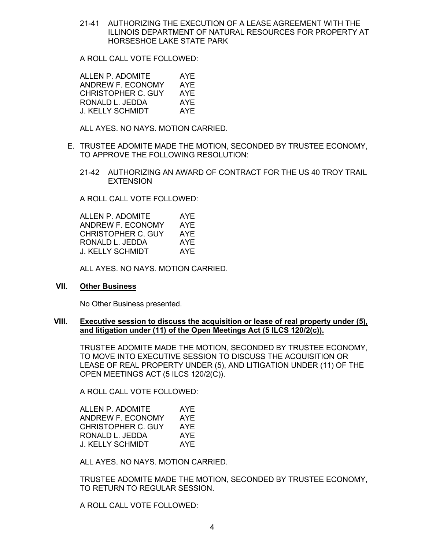21-41 AUTHORIZING THE EXECUTION OF A LEASE AGREEMENT WITH THE ILLINOIS DEPARTMENT OF NATURAL RESOURCES FOR PROPERTY AT HORSESHOE LAKE STATE PARK

A ROLL CALL VOTE FOLLOWED:

ALLEN P. ADOMITE AYE ANDREW F. ECONOMY AYE CHRISTOPHER C. GUY AYE RONALD L. JEDDA AYE J. KELLY SCHMIDT AYE

ALL AYES. NO NAYS. MOTION CARRIED.

- E. TRUSTEE ADOMITE MADE THE MOTION, SECONDED BY TRUSTEE ECONOMY, TO APPROVE THE FOLLOWING RESOLUTION:
	- 21-42 AUTHORIZING AN AWARD OF CONTRACT FOR THE US 40 TROY TRAIL **EXTENSION**

A ROLL CALL VOTE FOLLOWED:

ALLEN P. ADOMITE AYE ANDREW F. ECONOMY AYE CHRISTOPHER C. GUY AYE RONALD L. JEDDA AYE J. KELLY SCHMIDT AYE

ALL AYES. NO NAYS. MOTION CARRIED.

# VII. Other Business

No Other Business presented.

#### VIII. Executive session to discuss the acquisition or lease of real property under (5), and litigation under (11) of the Open Meetings Act (5 ILCS 120/2(c)).

TRUSTEE ADOMITE MADE THE MOTION, SECONDED BY TRUSTEE ECONOMY, TO MOVE INTO EXECUTIVE SESSION TO DISCUSS THE ACQUISITION OR LEASE OF REAL PROPERTY UNDER (5), AND LITIGATION UNDER (11) OF THE OPEN MEETINGS ACT (5 ILCS 120/2(C)).

A ROLL CALL VOTE FOLLOWED:

| ALLEN P. ADOMITE   | AYE |
|--------------------|-----|
| ANDREW F. ECONOMY  | AYE |
| CHRISTOPHER C. GUY | AYF |
| RONALD L. JEDDA    | AYE |
| J. KELLY SCHMIDT   | AYF |

ALL AYES. NO NAYS. MOTION CARRIED.

TRUSTEE ADOMITE MADE THE MOTION, SECONDED BY TRUSTEE ECONOMY, TO RETURN TO REGULAR SESSION.

A ROLL CALL VOTE FOLLOWED: